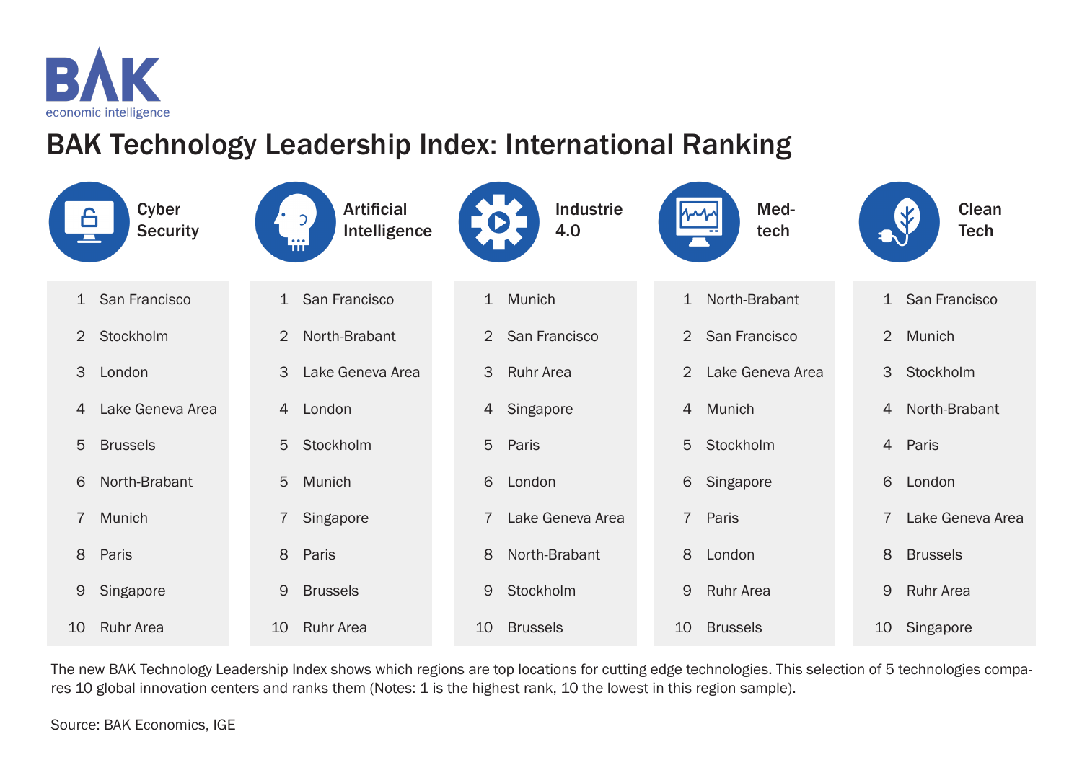

BAK Technology Leadership Index: International Ranking

| 6<br>$\mathcal{L}(\mathcal{A})$ | Cyber<br><b>Security</b> | <b>Artificial</b><br>Intelligence<br>TП |                | Industrie<br>4.0 |                | Med-<br>tech     |    | <b>Clean</b><br><b>Tech</b> |
|---------------------------------|--------------------------|-----------------------------------------|----------------|------------------|----------------|------------------|----|-----------------------------|
| $\mathbf{1}$                    | San Francisco            | San Francisco<br>$\mathbf{1}$           | 1              | Munich           |                | 1 North-Brabant  |    | 1 San Francisco             |
| 2                               | Stockholm                | North-Brabant<br>2                      | 2              | San Francisco    | $\overline{2}$ | San Francisco    |    | 2 Munich                    |
| 3<br>London                     |                          | 3<br>Lake Geneva Area                   | 3              | <b>Ruhr Area</b> | $\overline{2}$ | Lake Geneva Area |    | 3 Stockholm                 |
| $\overline{4}$                  | Lake Geneva Area         | London<br>$\overline{4}$                | 4              | Singapore        | $\overline{4}$ | Munich           |    | 4 North-Brabant             |
| 5<br><b>Brussels</b>            |                          | 5<br>Stockholm                          | 5              | Paris            | 5 <sup>5</sup> | Stockholm        |    | 4 Paris                     |
| 6                               | North-Brabant            | 5<br>Munich                             | 6              | London           | 6              | Singapore        | 6  | London                      |
| $\overline{7}$<br>Munich        |                          | $\overline{7}$<br>Singapore             | $\overline{7}$ | Lake Geneva Area | $\overline{7}$ | Paris            |    | Lake Geneva Area            |
| 8<br>Paris                      |                          | 8<br>Paris                              | 8              | North-Brabant    | 8              | London           | 8  | <b>Brussels</b>             |
| 9                               | Singapore                | 9<br><b>Brussels</b>                    | 9              | Stockholm        | 9              | <b>Ruhr Area</b> | 9  | <b>Ruhr Area</b>            |
| 10                              | <b>Ruhr Area</b><br>10   | <b>Ruhr Area</b>                        | 10             | <b>Brussels</b>  | 10             | <b>Brussels</b>  | 10 | Singapore                   |

The new BAK Technology Leadership Index shows which regions are top locations for cutting edge technologies. This selection of 5 technologies compares 10 global innovation centers and ranks them (Notes: 1 is the highest rank, 10 the lowest in this region sample).

Source: BAK Economics, IGE